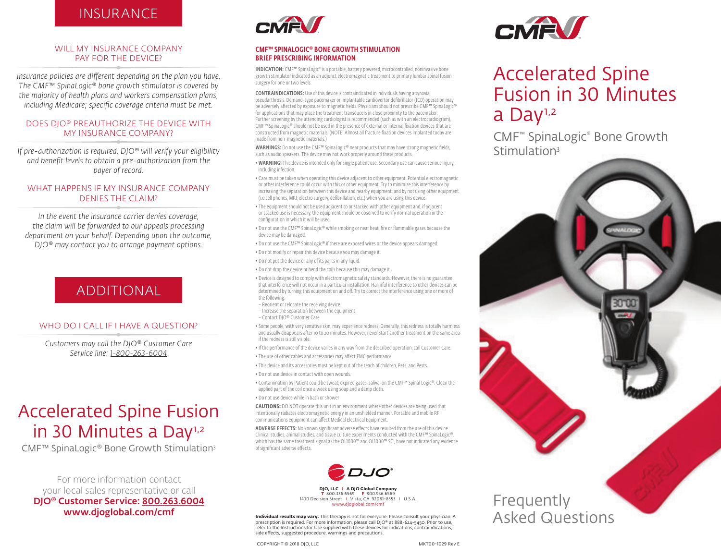## **INSURANCE**

#### WILL MY INSURANCE COMPANY PAY FOR THE DEVICE?

*Insurance policies are different depending on the plan you have. The CMF™ SpinaLogic® bone growth stimulator is covered by the majority of health plans and workers compensation plans, including Medicare; specific coverage criteria must be met.*

#### DOES DJO® PREAUTHORIZE THE DEVICE WITH MY INSURANCE COMPANY?

*If pre-authorization is required, DJO® will verify your eligibility and benefit levels to obtain a pre-authorization from the payer of record.*

#### WHAT HAPPENS IF MY INSURANCE COMPANY DENIES THE CLAIM?

*In the event the insurance carrier denies coverage, the claim will be forwarded to our appeals processing department on your behalf. Depending upon the outcome, DJO® may contact you to arrange payment options.*

# ADDITIONAL

#### WHO DO I CALL IF I HAVE A QUESTION?

*Customers may call the DJO® Customer Care Service line: 1-800-263-6004*

# Accelerated Spine Fusion in 30 Minutes a Day<sup>1,2</sup>

CMF™ SpinaLogic® Bone Growth Stimulation3

For more information contact your local sales representative or call DJO® Customer Service: 800.263.6004 www.djoglobal.com/cmf



#### CMF™ SPINALOGIC® BONE GROWTH STIMULATION BRIEF PRESCRIBING INFORMATION

INDICATION: CMF™ SpinaLogic® is a portable, battery powered, microcontrolled, noninvasive bone growth stimulator indicated as an adjunct electromagnetic treatment to primary lumbar spinal fusion surgery for one or two levels.

CONTRAINDICATIONS: Use of this device is contraindicated in individuals having a synovial pseudarthrosis. Demand-type pacemaker or implantable cardiovertor defibrillator (ICD) operation may be adversely affected by exposure to magnetic fields. Physicians should not prescribe CMF™ SpinaLogic® for applications that may place the treatment transducers in close proximity to the pacemaker. Further screening by the attending cardiologist is recommended (such as with an electrocardiogram). CMF™ SpinaLogic® should not be used in the presence of external or internal fixation devices that are constructed from magnetic materials. (NOTE: Almost all fracture fixation devices implanted today are made from non-magnetic materials.)

WARNINGS: Do not use the CMF<sup>™</sup> SpinaLogic® near products that may have strong magnetic fields, such as audio speakers. The device may not work properly around these products.

• WARNING! This device is intended only for single patient use. Secondary use can cause serious injury, including infection.

• Care must be taken when operating this device adjacent to other equipment. Potential electromagnetic or other interference could occur with this or other equipment. Try to minimize this interference by increasing the separation between this device and nearby equipment, and by not using other equipment (i.e.cell phones, MRI, electro surgery, defibrillation, etc.) when you are using this device.

- The equipment should not be used adjacent to or stacked with other equipment and, if adjacent or stacked use is necessary, the equipment should be observed to verify normal operation in the configuration in which it will be used.
- Do not use the CMF™ SpinaLogic® while smoking or near heat, fire or flammable gases because the device may be damaged.
- Do not use the CMF™ SpinaLogic® if there are exposed wires or the device appears damaged.
- Do not modify or repair this device because you may damage it.
- Do not put the device or any of its parts in any liquid.
- Do not drop the device or bend the coils because this may damage it.

• Device is designed to comply with electromagnetic safety standards. However, there is no guarantee that interference will not occur in a particular installation. Harmful interference to other devices can be determined by turning this equipment on and off. Try to correct the interference using one or more of the following:

- Reorient or relocate the receiving device
- Increase the separation between the equipment
- Contact DJO® Customer Care

• Some people, with very sensitive skin, may experience redness. Generally, this redness is totally harmless and usually disappears after 10 to 20 minutes. However, never start another treatment on the same area if the redness is still visible.

- If the performance of the device varies in any way from the described operation, call Customer Care.
- The use of other cables and accessories may affect EMC performance.
- This device and its accessories must be kept out of the reach of children, Pets, and Pests.
- Do not use device in contact with open wounds.
- Contamination by Patient could be sweat, expired gases, saliva, on the CMF™ Spinal Logic®. Clean the applied part of the coil once a week using soap and a damp cloth.
- Do not use device while in bath or shower

**CAUTIONS:** DO NOT operate this unit in an environment where other devices are being used that intentionally radiates electromagnetic energy in an unshielded manner. Portable and mobile RF communications equipment can affect Medical Electrical Equipment.

ADVERSE EFFECTS: No known significant adverse effects have resulted from the use of this device. Clinical studies, animal studies, and tissue culture experiments conducted with the CMF™ SpinaLogic®, which has the same treatment signal as the OL1000™ and OL1000™ SC<sup>1</sup>, have not indicated any evidence of significant adverse effects.



**DJO, LLC** I **A DJO Global Company T** 800.336.6569 **F** 800.936.6569 1430 Decision Street I Vista, CA 92081-8553 I U.S.A. www.djoglobal.com/cm

**Individual results may vary.** This therapy is not for everyone. Please consult your physician. A prescription is required. For more information, please call DJO® at 888-624-5450. Prior to use, refer to the Instructions for Use supplied with these devices for indications, contraindications, side effects, suggested procedure, warnings and precautions.

COPYRIGHT © 2018 DJO, LLC 
BACK AND THE MATTER OF THE MATTER OF THE MATTER OF THE MATTER OF THE MATTER OF THE MATTER OF THE MATTER OF THE MATTER OF THE MATTER OF THE MATTER OF THE MATTER OF THE MATTER OF THE MATTER OF THE



# Accelerated Spine Fusion in 30 Minutes a Day<sup>1,2</sup>

CMF™ SpinaLogic® Bone Growth Stimulation<sup>3</sup>



# Asked Questions